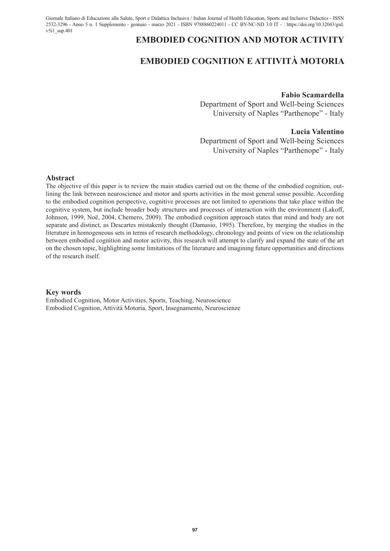Giornale Italiano di Educazione alla Salute, Sport e Didattica Inclusiva / Italian Journal of Health Education, Sports and Inclusive Didactics - ISSN 2532-3296 - Anno 5 n. 1 Supplemento - gennaio - marzo 2021 - ISBN 9788860224011 - CC BY-NC-ND 3.0 IT - : https://doi.org/10.32043/gsd.  $v5i1$  sup.401

# **EMBODIED COGNITION AND MOTOR ACTIVITY**

# **EMBODIED COGNITION E ATTIVITÀ MOTORIA**

#### **Fabio Scamardella**

Department of Sport and Well-being Sciences University of Naples "Parthenope" - Italy

### **Lucia Valentino**

Department of Sport and Well-being Sciences University of Naples "Parthenope" - Italy

#### **Abstract**

The objective of this paper is to review the main studies carried out on the theme of the embodied cognition, outlining the link between neuroscience and motor and sports activities in the most general sense possible. According to the embodied cognition perspective, cognitive processes are not limited to operations that take place within the cognitive system, but include broader body structures and processes of interaction with the environment (Lakoff, Johnson, 1999, Noë, 2004, Chemero, 2009). The embodied cognition approach states that mind and body are not separate and distinct, as Descartes mistakenly thought (Damasio, 1995). Therefore, by merging the studies in the literature in homogeneous sets in terms of research methodology, chronology and points of view on the relationship between embodied cognition and motor activity, this research will attempt to clarify and expand the state of the art on the chosen topic, highlighting some limitations of the literature and imagining future opportunities and directions of the research itself.

#### **Key words**

Embodied Cognition, Motor Activities, Sports, Teaching, Neuroscience Embodied Cognition, Attività Motoria, Sport, Insegnamento, Neuroscienze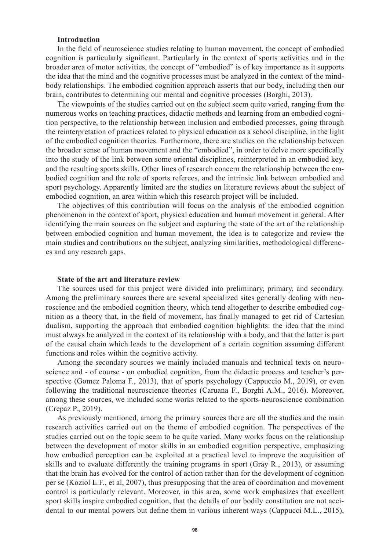### **Introduction**

In the field of neuroscience studies relating to human movement, the concept of embodied cognition is particularly significant. Particularly in the context of sports activities and in the broader area of motor activities, the concept of "embodied" is of key importance as it supports the idea that the mind and the cognitive processes must be analyzed in the context of the mindbody relationships. The embodied cognition approach asserts that our body, including then our brain, contributes to determining our mental and cognitive processes (Borghi, 2013).

The viewpoints of the studies carried out on the subject seem quite varied, ranging from the numerous works on teaching practices, didactic methods and learning from an embodied cognition perspective, to the relationship between inclusion and embodied processes, going through the reinterpretation of practices related to physical education as a school discipline, in the light of the embodied cognition theories. Furthermore, there are studies on the relationship between the broader sense of human movement and the "embodied", in order to delve more specifically into the study of the link between some oriental disciplines, reinterpreted in an embodied key, and the resulting sports skills. Other lines of research concern the relationship between the embodied cognition and the role of sports referees, and the intrinsic link between embodied and sport psychology. Apparently limited are the studies on literature reviews about the subject of embodied cognition, an area within which this research project will be included.

The objectives of this contribution will focus on the analysis of the embodied cognition phenomenon in the context of sport, physical education and human movement in general. After identifying the main sources on the subject and capturing the state of the art of the relationship between embodied cognition and human movement, the idea is to categorize and review the main studies and contributions on the subject, analyzing similarities, methodological differences and any research gaps.

## **State of the art and literature review**

The sources used for this project were divided into preliminary, primary, and secondary. Among the preliminary sources there are several specialized sites generally dealing with neuroscience and the embodied cognition theory, which tend altogether to describe embodied cognition as a theory that, in the field of movement, has finally managed to get rid of Cartesian dualism, supporting the approach that embodied cognition highlights: the idea that the mind must always be analyzed in the context of its relationship with a body, and that the latter is part of the causal chain which leads to the development of a certain cognition assuming different functions and roles within the cognitive activity.

Among the secondary sources we mainly included manuals and technical texts on neuroscience and - of course - on embodied cognition, from the didactic process and teacher's perspective (Gomez Paloma F., 2013), that of sports psychology (Cappuccio M., 2019), or even following the traditional neuroscience theories (Caruana F., Borghi A.M., 2016). Moreover, among these sources, we included some works related to the sports-neuroscience combination (Crepaz P., 2019).

As previously mentioned, among the primary sources there are all the studies and the main research activities carried out on the theme of embodied cognition. The perspectives of the studies carried out on the topic seem to be quite varied. Many works focus on the relationship between the development of motor skills in an embodied cognition perspective, emphasizing how embodied perception can be exploited at a practical level to improve the acquisition of skills and to evaluate differently the training programs in sport (Gray R., 2013), or assuming that the brain has evolved for the control of action rather than for the development of cognition per se (Koziol L.F., et al, 2007), thus presupposing that the area of coordination and movement control is particularly relevant. Moreover, in this area, some work emphasizes that excellent sport skills inspire embodied cognition, that the details of our bodily constitution are not accidental to our mental powers but define them in various inherent ways (Cappucci M.L., 2015),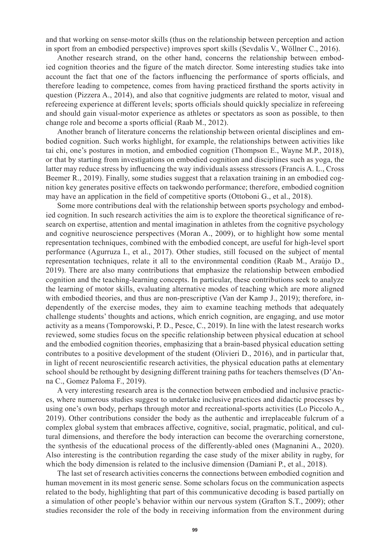and that working on sense-motor skills (thus on the relationship between perception and action in sport from an embodied perspective) improves sport skills (Sevdalis V., Wöllner C., 2016).

Another research strand, on the other hand, concerns the relationship between embodied cognition theories and the figure of the match director. Some interesting studies take into account the fact that one of the factors influencing the performance of sports officials, and therefore leading to competence, comes from having practiced firsthand the sports activity in question (Pizzera A., 2014), and also that cognitive judgments are related to motor, visual and refereeing experience at different levels; sports officials should quickly specialize in refereeing and should gain visual-motor experience as athletes or spectators as soon as possible, to then change role and become a sports official (Raab M., 2012).

Another branch of literature concerns the relationship between oriental disciplines and embodied cognition. Such works highlight, for example, the relationships between activities like tai chi, one's postures in motion, and embodied cognition (Thompson E., Wayne M.P., 2018), or that by starting from investigations on embodied cognition and disciplines such as yoga, the latter may reduce stress by influencing the way individuals assess stressors (Francis A. L., Cross Beemer R., 2019). Finally, some studies suggest that a relaxation training in an embodied cognition key generates positive effects on taekwondo performance; therefore, embodied cognition may have an application in the field of competitive sports (Ottoboni G., et al., 2018).

Some more contributions deal with the relationship between sports psychology and embodied cognition. In such research activities the aim is to explore the theoretical significance of research on expertise, attention and mental imagination in athletes from the cognitive psychology and cognitive neuroscience perspectives (Moran A., 2009), or to highlight how some mental representation techniques, combined with the embodied concept, are useful for high-level sport performance (Agurruza I., et al., 2017). Other studies, still focused on the subject of mental representation techniques, relate it all to the environmental condition (Raab M., Araújo D., 2019). There are also many contributions that emphasize the relationship between embodied cognition and the teaching-learning concepts. In particular, these contributions seek to analyze the learning of motor skills, evaluating alternative modes of teaching which are more aligned with embodied theories, and thus are non-prescriptive (Van der Kamp J., 2019); therefore, independently of the exercise modes, they aim to examine teaching methods that adequately challenge students' thoughts and actions, which enrich cognition, are engaging, and use motor activity as a means (Tomporowski, P. D., Pesce, C., 2019). In line with the latest research works reviewed, some studies focus on the specific relationship between physical education at school and the embodied cognition theories, emphasizing that a brain-based physical education setting contributes to a positive development of the student (Olivieri D., 2016), and in particular that, in light of recent neuroscientific research activities, the physical education paths at elementary school should be rethought by designing different training paths for teachers themselves (D'Anna C., Gomez Paloma F., 2019).

A very interesting research area is the connection between embodied and inclusive practices, where numerous studies suggest to undertake inclusive practices and didactic processes by using one's own body, perhaps through motor and recreational-sports activities (Lo Piccolo A., 2019). Other contributions consider the body as the authentic and irreplaceable fulcrum of a complex global system that embraces affective, cognitive, social, pragmatic, political, and cultural dimensions, and therefore the body interaction can become the overarching cornerstone, the synthesis of the educational process of the differently-abled ones (Magnanini A., 2020). Also interesting is the contribution regarding the case study of the mixer ability in rugby, for which the body dimension is related to the inclusive dimension (Damiani P., et al., 2018).

The last set of research activities concerns the connections between embodied cognition and human movement in its most generic sense. Some scholars focus on the communication aspects related to the body, highlighting that part of this communicative decoding is based partially on a simulation of other people's behavior within our nervous system (Grafton S.T., 2009); other studies reconsider the role of the body in receiving information from the environment during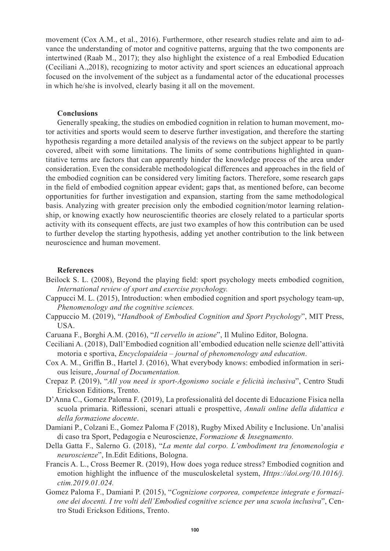movement (Cox A.M., et al., 2016). Furthermore, other research studies relate and aim to advance the understanding of motor and cognitive patterns, arguing that the two components are intertwined (Raab M., 2017); they also highlight the existence of a real Embodied Education (Ceciliani A.,2018), recognizing to motor activity and sport sciences an educational approach focused on the involvement of the subject as a fundamental actor of the educational processes in which he/she is involved, clearly basing it all on the movement.

### **Conclusions**

Generally speaking, the studies on embodied cognition in relation to human movement, motor activities and sports would seem to deserve further investigation, and therefore the starting hypothesis regarding a more detailed analysis of the reviews on the subject appear to be partly covered, albeit with some limitations. The limits of some contributions highlighted in quantitative terms are factors that can apparently hinder the knowledge process of the area under consideration. Even the considerable methodological differences and approaches in the field of the embodied cognition can be considered very limiting factors. Therefore, some research gaps in the field of embodied cognition appear evident; gaps that, as mentioned before, can become opportunities for further investigation and expansion, starting from the same methodological basis. Analyzing with greater precision only the embodied cognition/motor learning relationship, or knowing exactly how neuroscientific theories are closely related to a particular sports activity with its consequent effects, are just two examples of how this contribution can be used to further develop the starting hypothesis, adding yet another contribution to the link between neuroscience and human movement.

### **References**

- Beilock S. L. (2008), Beyond the playing field: sport psychology meets embodied cognition, *International review of sport and exercise psychology.*
- Cappucci M. L. (2015), Introduction: when embodied cognition and sport psychology team-up, *Phenomenology and the cognitive sciences.*
- Cappuccio M. (2019), "*Handbook of Embodied Cognition and Sport Psychology*", MIT Press, USA.
- Caruana F., Borghi A.M. (2016), "*Il cervello in azione*", Il Mulino Editor, Bologna.
- Ceciliani A. (2018), Dall'Embodied cognition all'embodied education nelle scienze dell'attività motoria e sportiva, *Encyclopaideia – journal of phenomenology and education*.
- Cox A. M., Griffin B., Hartel J. (2016), What everybody knows: embodied information in serious leisure, *Journal of Documentation.*
- Crepaz P. (2019), "*All you need is sport-Agonismo sociale e felicità inclusiva*", Centro Studi Erickson Editions, Trento.
- D'Anna C., Gomez Paloma F. (2019), La professionalità del docente di Educazione Fisica nella scuola primaria. Riflessioni, scenari attuali e prospettive, *Annali online della didattica e della formazione docente*.
- Damiani P., Colzani E., Gomez Paloma F (2018), Rugby Mixed Ability e Inclusione. Un'analisi di caso tra Sport, Pedagogia e Neuroscienze, *Formazione & Insegnamento.*
- Della Gatta F., Salerno G. (2018), "*La mente dal corpo. L'embodiment tra fenomenologia e neuroscienze*", In.Edit Editions, Bologna.
- Francis A. L., Cross Beemer R. (2019), How does yoga reduce stress? Embodied cognition and emotion highlight the influence of the musculoskeletal system, *Https://doi.org/10.1016/j. ctim.2019.01.024.*
- Gomez Paloma F., Damiani P. (2015), "*Cognizione corporea, competenze integrate e formazione dei docenti. I tre volti dell'Embodied cognitive science per una scuola inclusiva*", Centro Studi Erickson Editions, Trento.